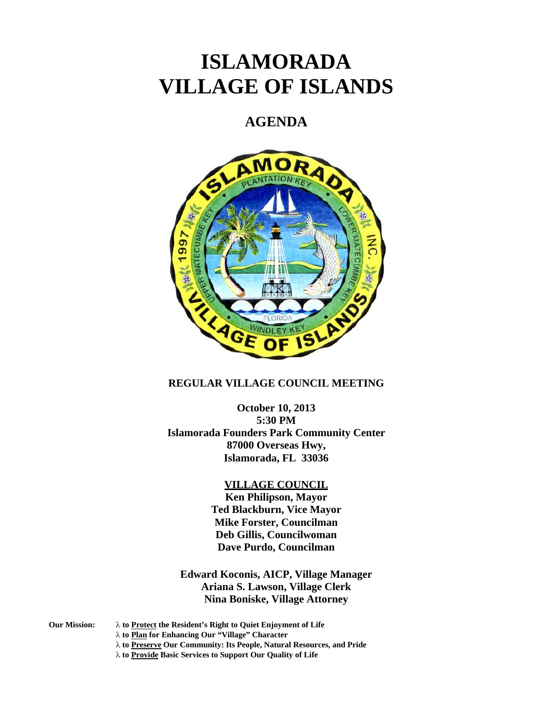# **ISLAMORADA VILLAGE OF ISLANDS**

# **AGENDA**



#### **REGULAR VILLAGE COUNCIL MEETING**

**October 10, 2013 5:30 PM Islamorada Founders Park Community Center 87000 Overseas Hwy, Islamorada, FL 33036**

#### **VILLAGE COUNCIL**

**Ken Philipson, Mayor Ted Blackburn, Vice Mayor Mike Forster, Councilman Deb Gillis, Councilwoman Dave Purdo, Councilman**

**Edward Koconis, AICP, Village Manager Ariana S. Lawson, Village Clerk Nina Boniske, Village Attorney**

- **Our Mission: to Protect the Resident's Right to Quiet Enjoyment of Life**
	- **to Plan for Enhancing Our "Village" Character**
		- **to Preserve Our Community: Its People, Natural Resources, and Pride**
		- **to Provide Basic Services to Support Our Quality of Life**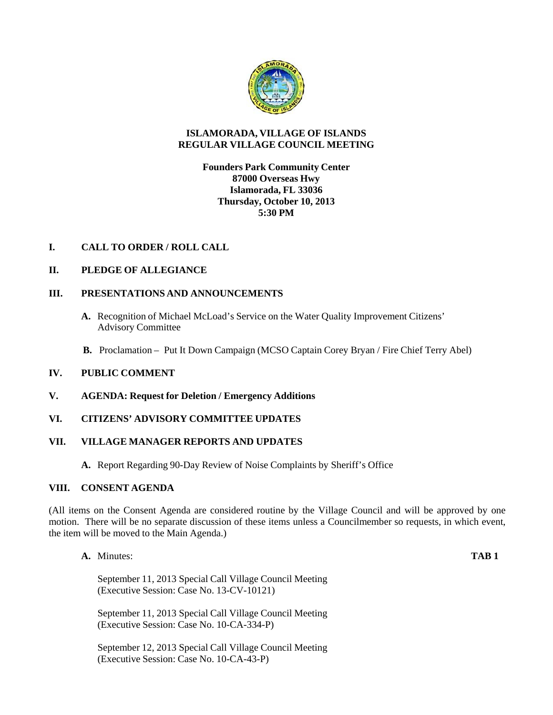

# **ISLAMORADA, VILLAGE OF ISLANDS REGULAR VILLAGE COUNCIL MEETING**

# **Founders Park Community Center 87000 Overseas Hwy Islamorada, FL 33036 Thursday, October 10, 2013 5:30 PM**

# **I. CALL TO ORDER / ROLL CALL**

# **II. PLEDGE OF ALLEGIANCE**

## **III. PRESENTATIONS AND ANNOUNCEMENTS**

- **A.** Recognition of Michael McLoad's Service on the Water Quality Improvement Citizens' Advisory Committee
- **B.** Proclamation Put It Down Campaign (MCSO Captain Corey Bryan / Fire Chief Terry Abel)

#### **IV. PUBLIC COMMENT**

**V. AGENDA: Request for Deletion / Emergency Additions** 

#### **VI. CITIZENS' ADVISORY COMMITTEE UPDATES**

#### **VII. VILLAGE MANAGER REPORTS AND UPDATES**

**A.** Report Regarding 90-Day Review of Noise Complaints by Sheriff's Office

#### **VIII. CONSENT AGENDA**

(All items on the Consent Agenda are considered routine by the Village Council and will be approved by one motion. There will be no separate discussion of these items unless a Councilmember so requests, in which event, the item will be moved to the Main Agenda.)

**A.** Minutes: **TAB 1**

September 11, 2013 Special Call Village Council Meeting (Executive Session: Case No. 13-CV-10121)

September 11, 2013 Special Call Village Council Meeting (Executive Session: Case No. 10-CA-334-P)

September 12, 2013 Special Call Village Council Meeting (Executive Session: Case No. 10-CA-43-P)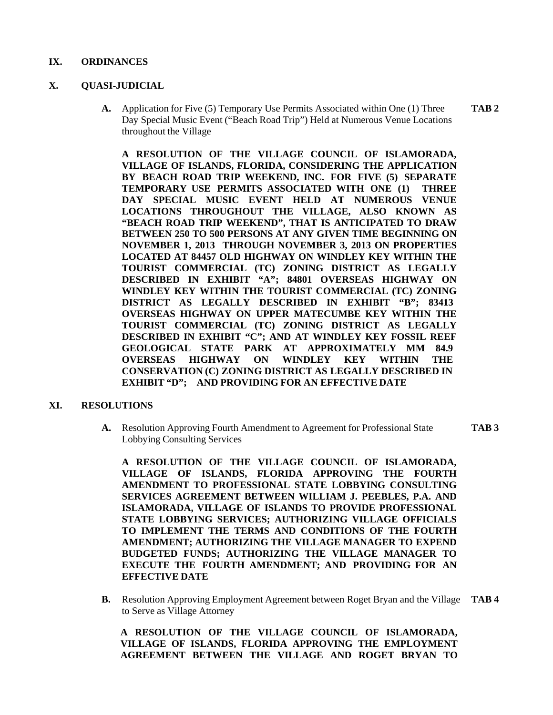#### **IX. ORDINANCES**

#### **X. QUASI-JUDICIAL**

**A.** Application for Five (5) Temporary Use Permits Associated within One (1) Three Day Special Music Event ("Beach Road Trip") Held at Numerous Venue Locations throughout the Village **TAB 2**

**A RESOLUTION OF THE VILLAGE COUNCIL OF ISLAMORADA, VILLAGE OF ISLANDS, FLORIDA, CONSIDERING THE APPLICATION BY BEACH ROAD TRIP WEEKEND, INC. FOR FIVE (5) SEPARATE TEMPORARY USE PERMITS ASSOCIATED WITH ONE (1) THREE DAY SPECIAL MUSIC EVENT HELD AT NUMEROUS VENUE LOCATIONS THROUGHOUT THE VILLAGE, ALSO KNOWN AS "BEACH ROAD TRIP WEEKEND", THAT IS ANTICIPATED TO DRAW BETWEEN 250 TO 500 PERSONS AT ANY GIVEN TIME BEGINNING ON NOVEMBER 1, 2013 THROUGH NOVEMBER 3, 2013 ON PROPERTIES LOCATED AT 84457 OLD HIGHWAY ON WINDLEY KEY WITHIN THE TOURIST COMMERCIAL (TC) ZONING DISTRICT AS LEGALLY DESCRIBED IN EXHIBIT "A"; 84801 OVERSEAS HIGHWAY ON WINDLEY KEY WITHIN THE TOURIST COMMERCIAL (TC) ZONING DISTRICT AS LEGALLY DESCRIBED IN EXHIBIT "B"; 83413 OVERSEAS HIGHWAY ON UPPER MATECUMBE KEY WITHIN THE TOURIST COMMERCIAL (TC) ZONING DISTRICT AS LEGALLY DESCRIBED IN EXHIBIT "C"; AND AT WINDLEY KEY FOSSIL REEF GEOLOGICAL STATE PARK AT APPROXIMATELY MM 84.9 OVERSEAS HIGHWAY ON WINDLEY KEY WITHIN THE CONSERVATION (C) ZONING DISTRICT AS LEGALLY DESCRIBED IN EXHIBIT "D"; AND PROVIDING FOR AN EFFECTIVE DATE**

#### **XI. RESOLUTIONS**

**A.** Resolution Approving Fourth Amendment to Agreement for Professional State Lobbying Consulting Services **TAB 3**

**A RESOLUTION OF THE VILLAGE COUNCIL OF ISLAMORADA, VILLAGE OF ISLANDS, FLORIDA APPROVING THE FOURTH AMENDMENT TO PROFESSIONAL STATE LOBBYING CONSULTING SERVICES AGREEMENT BETWEEN WILLIAM J. PEEBLES, P.A. AND ISLAMORADA, VILLAGE OF ISLANDS TO PROVIDE PROFESSIONAL STATE LOBBYING SERVICES; AUTHORIZING VILLAGE OFFICIALS TO IMPLEMENT THE TERMS AND CONDITIONS OF THE FOURTH AMENDMENT; AUTHORIZING THE VILLAGE MANAGER TO EXPEND BUDGETED FUNDS; AUTHORIZING THE VILLAGE MANAGER TO EXECUTE THE FOURTH AMENDMENT; AND PROVIDING FOR AN EFFECTIVE DATE**

**B.** Resolution Approving Employment Agreement between Roget Bryan and the Village **TAB 4** to Serve as Village Attorney

**A RESOLUTION OF THE VILLAGE COUNCIL OF ISLAMORADA, VILLAGE OF ISLANDS, FLORIDA APPROVING THE EMPLOYMENT AGREEMENT BETWEEN THE VILLAGE AND ROGET BRYAN TO**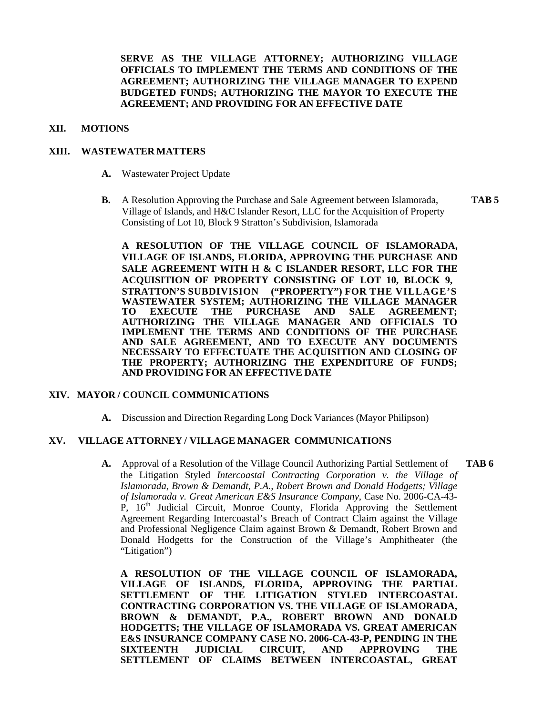**SERVE AS THE VILLAGE ATTORNEY; AUTHORIZING VILLAGE OFFICIALS TO IMPLEMENT THE TERMS AND CONDITIONS OF THE AGREEMENT; AUTHORIZING THE VILLAGE MANAGER TO EXPEND BUDGETED FUNDS; AUTHORIZING THE MAYOR TO EXECUTE THE AGREEMENT; AND PROVIDING FOR AN EFFECTIVE DATE** 

#### **XII. MOTIONS**

#### **XIII. WASTEWATER MATTERS**

- **A.** Wastewater Project Update
- **B.** A Resolution Approving the Purchase and Sale Agreement between Islamorada, Village of Islands, and H&C Islander Resort, LLC for the Acquisition of Property Consisting of Lot 10, Block 9 Stratton's Subdivision, Islamorada **TAB 5**

**A RESOLUTION OF THE VILLAGE COUNCIL OF ISLAMORADA, VILLAGE OF ISLANDS, FLORIDA, APPROVING THE PURCHASE AND SALE AGREEMENT WITH H & C ISLANDER RESORT, LLC FOR THE ACQUISITION OF PROPERTY CONSISTING OF LOT 10, BLOCK 9, STRATTON'S SUBDIVISION ("PROPERTY") FOR THE VILLAGE'S WASTEWATER SYSTEM; AUTHORIZING THE VILLAGE MANAGER TO EXECUTE THE PURCHASE AND SALE AGREEMENT; AUTHORIZING THE VILLAGE MANAGER AND OFFICIALS TO IMPLEMENT THE TERMS AND CONDITIONS OF THE PURCHASE AND SALE AGREEMENT, AND TO EXECUTE ANY DOCUMENTS NECESSARY TO EFFECTUATE THE ACQUISITION AND CLOSING OF THE PROPERTY; AUTHORIZING THE EXPENDITURE OF FUNDS; AND PROVIDING FOR AN EFFECTIVE DATE**

#### **XIV. MAYOR / COUNCIL COMMUNICATIONS**

**A.** Discussion and Direction Regarding Long Dock Variances (Mayor Philipson)

#### **XV. VILLAGE ATTORNEY / VILLAGE MANAGER COMMUNICATIONS**

**A.** Approval of a Resolution of the Village Council Authorizing Partial Settlement of **TAB 6** the Litigation Styled *Intercoastal Contracting Corporation v. the Village of Islamorada, Brown & Demandt, P.A., Robert Brown and Donald Hodgetts; Village of Islamorada v. Great American E&S Insurance Company*, Case No. 2006-CA-43- P,  $16<sup>th</sup>$  Judicial Circuit, Monroe County, Florida Approving the Settlement Agreement Regarding Intercoastal's Breach of Contract Claim against the Village and Professional Negligence Claim against Brown & Demandt, Robert Brown and Donald Hodgetts for the Construction of the Village's Amphitheater (the "Litigation")

**A RESOLUTION OF THE VILLAGE COUNCIL OF ISLAMORADA, VILLAGE OF ISLANDS, FLORIDA, APPROVING THE PARTIAL SETTLEMENT OF THE LITIGATION STYLED INTERCOASTAL CONTRACTING CORPORATION VS. THE VILLAGE OF ISLAMORADA, BROWN & DEMANDT, P.A., ROBERT BROWN AND DONALD HODGETTS; THE VILLAGE OF ISLAMORADA VS. GREAT AMERICAN E&S INSURANCE COMPANY CASE NO. 2006-CA-43-P, PENDING IN THE SIXTEENTH JUDICIAL CIRCUIT, AND APPROVING THE SETTLEMENT OF CLAIMS BETWEEN INTERCOASTAL, GREAT**